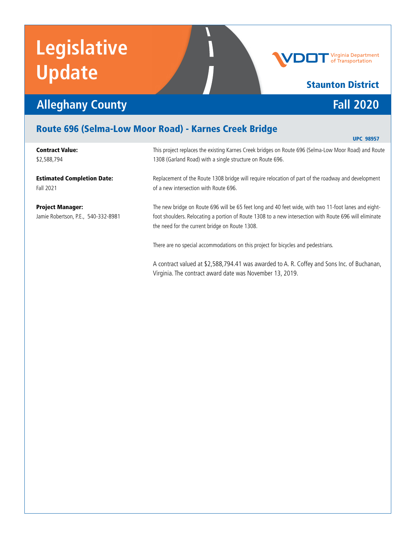# **Legislative Update**



### Staunton District

## **Alleghany County Fall 2020**

#### Route 696 (Selma-Low Moor Road) - Karnes Creek Bridge

| <b>Contract Value:</b><br>\$2,588,794                          | This project replaces the existing Karnes Creek bridges on Route 696 (Selma-Low Moor Road) and Route<br>1308 (Garland Road) with a single structure on Route 696.                                                                                                |
|----------------------------------------------------------------|------------------------------------------------------------------------------------------------------------------------------------------------------------------------------------------------------------------------------------------------------------------|
| <b>Estimated Completion Date:</b><br>Fall 2021                 | Replacement of the Route 1308 bridge will require relocation of part of the roadway and development<br>of a new intersection with Route 696.                                                                                                                     |
| <b>Project Manager:</b><br>Jamie Robertson, P.E., 540-332-8981 | The new bridge on Route 696 will be 65 feet long and 40 feet wide, with two 11-foot lanes and eight-<br>foot shoulders. Relocating a portion of Route 1308 to a new intersection with Route 696 will eliminate<br>the need for the current bridge on Route 1308. |
|                                                                | There are no special accommodations on this project for bicycles and pedestrians.                                                                                                                                                                                |
|                                                                | A contract valued at \$2,588,794.41 was awarded to A. R. Coffey and Sons Inc. of Buchanan,<br>Virginia. The contract award date was November 13, 2019.                                                                                                           |

N

UPC 98957